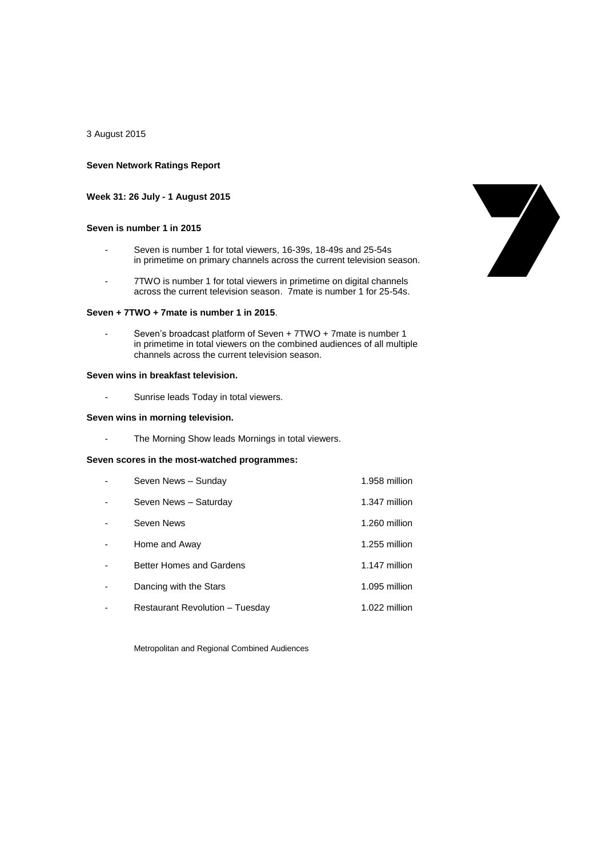3 August 2015

### **Seven Network Ratings Report**

### **Week 31: 26 July - 1 August 2015**

### **Seven is number 1 in 2015**

- Seven is number 1 for total viewers, 16-39s, 18-49s and 25-54s in primetime on primary channels across the current television season.
- 7TWO is number 1 for total viewers in primetime on digital channels across the current television season. 7mate is number 1 for 25-54s.

### **Seven + 7TWO + 7mate is number 1 in 2015**.

Seven's broadcast platform of Seven + 7TWO + 7mate is number 1 in primetime in total viewers on the combined audiences of all multiple channels across the current television season.

## **Seven wins in breakfast television.**

- Sunrise leads Today in total viewers.

### **Seven wins in morning television.**

- The Morning Show leads Mornings in total viewers.

# **Seven scores in the most-watched programmes:**

| Seven News - Sunday                    | 1.958 million |
|----------------------------------------|---------------|
| Seven News - Saturday                  | 1.347 million |
| Seven News                             | 1.260 million |
| Home and Away                          | 1.255 million |
| <b>Better Homes and Gardens</b>        | 1.147 million |
| Dancing with the Stars                 | 1.095 million |
| <b>Restaurant Revolution - Tuesday</b> | 1.022 million |

Metropolitan and Regional Combined Audiences

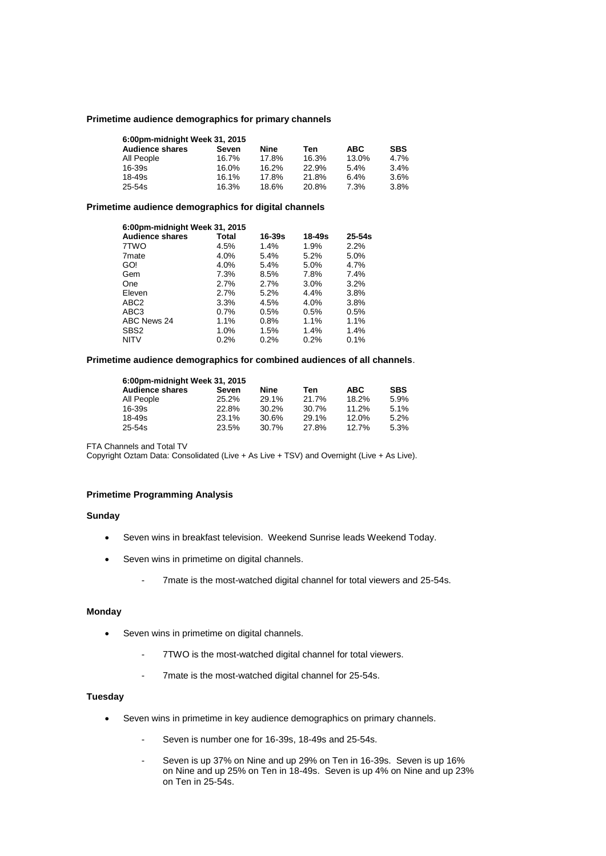### **Primetime audience demographics for primary channels**

| 6:00pm-midnight Week 31, 2015 |       |       |       |            |            |
|-------------------------------|-------|-------|-------|------------|------------|
| <b>Audience shares</b>        | Seven | Nine  | Ten   | <b>ABC</b> | <b>SBS</b> |
| All People                    | 16.7% | 17.8% | 16.3% | 13.0%      | 4.7%       |
| $16 - 39s$                    | 16.0% | 16.2% | 22.9% | 5.4%       | 3.4%       |
| $18 - 49s$                    | 16.1% | 17.8% | 21.8% | 6.4%       | 3.6%       |
| $25 - 54s$                    | 16.3% | 18.6% | 20.8% | 7.3%       | 3.8%       |

### **Primetime audience demographics for digital channels**

| 6:00pm-midnight Week 31, 2015 |       |            |            |            |
|-------------------------------|-------|------------|------------|------------|
| <b>Audience shares</b>        | Total | $16 - 39s$ | $18 - 49s$ | $25 - 54s$ |
| 7TWO                          | 4.5%  | 1.4%       | 1.9%       | 2.2%       |
| 7 <sub>mate</sub>             | 4.0%  | 5.4%       | 5.2%       | 5.0%       |
| GO!                           | 4.0%  | 5.4%       | 5.0%       | 4.7%       |
| Gem                           | 7.3%  | 8.5%       | 7.8%       | 7.4%       |
| One                           | 2.7%  | 2.7%       | 3.0%       | 3.2%       |
| Eleven                        | 2.7%  | 5.2%       | 4.4%       | 3.8%       |
| ABC <sub>2</sub>              | 3.3%  | 4.5%       | 4.0%       | 3.8%       |
| ABC3                          | 0.7%  | 0.5%       | 0.5%       | 0.5%       |
| ABC News 24                   | 1.1%  | 0.8%       | 1.1%       | 1.1%       |
| SBS <sub>2</sub>              | 1.0%  | 1.5%       | 1.4%       | 1.4%       |
| <b>NITV</b>                   | 0.2%  | 0.2%       | 0.2%       | 0.1%       |

# **Primetime audience demographics for combined audiences of all channels**.

| 6:00pm-midnight Week 31, 2015 |       |       |       |            |            |
|-------------------------------|-------|-------|-------|------------|------------|
| <b>Audience shares</b>        | Seven | Nine  | Ten   | <b>ABC</b> | <b>SBS</b> |
| All People                    | 25.2% | 29.1% | 21.7% | 18.2%      | 5.9%       |
| 16-39s                        | 22.8% | 30.2% | 30.7% | 11.2%      | 5.1%       |
| 18-49s                        | 23.1% | 30.6% | 29.1% | 12.0%      | 5.2%       |
| 25-54s                        | 23.5% | 30.7% | 27.8% | 12.7%      | 5.3%       |

FTA Channels and Total TV

Copyright Oztam Data: Consolidated (Live + As Live + TSV) and Overnight (Live + As Live).

# **Primetime Programming Analysis**

### **Sunday**

- Seven wins in breakfast television. Weekend Sunrise leads Weekend Today.
- Seven wins in primetime on digital channels.
	- 7mate is the most-watched digital channel for total viewers and 25-54s.

# **Monday**

- Seven wins in primetime on digital channels.
	- 7TWO is the most-watched digital channel for total viewers.
	- 7mate is the most-watched digital channel for 25-54s.

### **Tuesday**

- Seven wins in primetime in key audience demographics on primary channels.
	- Seven is number one for 16-39s, 18-49s and 25-54s.
	- Seven is up 37% on Nine and up 29% on Ten in 16-39s. Seven is up 16% on Nine and up 25% on Ten in 18-49s. Seven is up 4% on Nine and up 23% on Ten in 25-54s.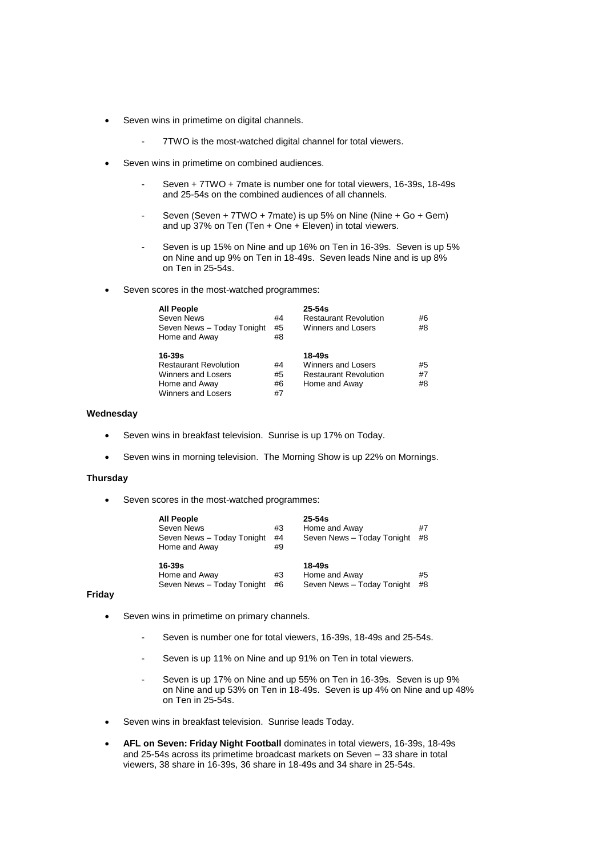- Seven wins in primetime on digital channels.
	- 7TWO is the most-watched digital channel for total viewers.
- Seven wins in primetime on combined audiences.
	- Seven + 7TWO + 7mate is number one for total viewers, 16-39s, 18-49s and 25-54s on the combined audiences of all channels.
	- Seven (Seven + 7TWO + 7mate) is up 5% on Nine (Nine + Go + Gem) and up 37% on Ten (Ten + One + Eleven) in total viewers.
	- Seven is up 15% on Nine and up 16% on Ten in 16-39s. Seven is up 5% on Nine and up 9% on Ten in 18-49s. Seven leads Nine and is up 8% on Ten in 25-54s.
- Seven scores in the most-watched programmes:

| <b>All People</b><br>Seven News<br>Seven News - Today Tonight<br>Home and Away                                 | #4<br>#5<br>#8       | $25 - 54s$<br><b>Restaurant Revolution</b><br>Winners and Losers              | #6<br>#8       |
|----------------------------------------------------------------------------------------------------------------|----------------------|-------------------------------------------------------------------------------|----------------|
| $16 - 39s$<br><b>Restaurant Revolution</b><br>Winners and Losers<br>Home and Away<br><b>Winners and Losers</b> | #4<br>#5<br>#6<br>#7 | 18-49s<br>Winners and Losers<br><b>Restaurant Revolution</b><br>Home and Away | #5<br>#7<br>#8 |

#### **Wednesday**

- Seven wins in breakfast television. Sunrise is up 17% on Today.
- Seven wins in morning television. The Morning Show is up 22% on Mornings.

## **Thursday**

Seven scores in the most-watched programmes:

| All People<br>Seven News<br>Seven News - Today Tonight<br>Home and Away | #3<br>#4<br>#9 | $25 - 54s$<br>Home and Away<br>Seven News - Today Tonight | #7<br>#8 |
|-------------------------------------------------------------------------|----------------|-----------------------------------------------------------|----------|
| 16-39s<br>Home and Away<br>Seven News - Today Tonight                   | #3<br>#6       | $18 - 49s$<br>Home and Away<br>Seven News - Today Tonight | #5<br>#8 |

## **Friday**

- Seven wins in primetime on primary channels.
	- Seven is number one for total viewers, 16-39s, 18-49s and 25-54s.
	- Seven is up 11% on Nine and up 91% on Ten in total viewers.
	- Seven is up 17% on Nine and up 55% on Ten in 16-39s. Seven is up 9% on Nine and up 53% on Ten in 18-49s. Seven is up 4% on Nine and up 48% on Ten in 25-54s.
- Seven wins in breakfast television. Sunrise leads Today.
- **AFL on Seven: Friday Night Football** dominates in total viewers, 16-39s, 18-49s and 25-54s across its primetime broadcast markets on Seven – 33 share in total viewers, 38 share in 16-39s, 36 share in 18-49s and 34 share in 25-54s.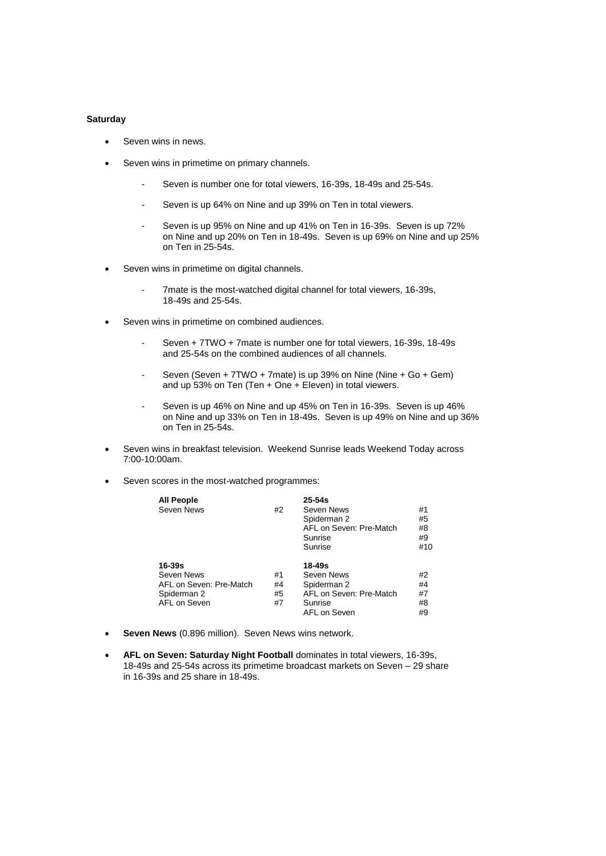### **Saturday**

- Seven wins in news.
- Seven wins in primetime on primary channels.
	- Seven is number one for total viewers, 16-39s, 18-49s and 25-54s.
	- Seven is up 64% on Nine and up 39% on Ten in total viewers.
	- Seven is up 95% on Nine and up 41% on Ten in 16-39s. Seven is up 72% on Nine and up 20% on Ten in 18-49s. Seven is up 69% on Nine and up 25% on Ten in 25-54s.
- Seven wins in primetime on digital channels.
	- 7mate is the most-watched digital channel for total viewers, 16-39s, 18-49s and 25-54s.
- Seven wins in primetime on combined audiences.
	- Seven + 7TWO + 7mate is number one for total viewers, 16-39s, 18-49s and 25-54s on the combined audiences of all channels.
	- Seven (Seven + 7TWO + 7mate) is up 39% on Nine (Nine + Go + Gem) and up 53% on Ten (Ten + One + Eleven) in total viewers.
	- Seven is up 46% on Nine and up 45% on Ten in 16-39s. Seven is up 46% on Nine and up 33% on Ten in 18-49s. Seven is up 49% on Nine and up 36% on Ten in 25-54s.
- Seven wins in breakfast television. Weekend Sunrise leads Weekend Today across 7:00-10:00am.
- Seven scores in the most-watched programmes:

| <b>All People</b><br>Seven News                                                    | #2                   | $25 - 54s$<br>Seven News<br>Spiderman 2<br>AFL on Seven: Pre-Match<br>Sunrise<br>Sunrise  | #1<br>#5<br>#8<br>#9<br>#10 |
|------------------------------------------------------------------------------------|----------------------|-------------------------------------------------------------------------------------------|-----------------------------|
| $16 - 39s$<br>Seven News<br>AFL on Seven: Pre-Match<br>Spiderman 2<br>AFL on Seven | #1<br>#4<br>#5<br>#7 | 18-49s<br>Seven News<br>Spiderman 2<br>AFL on Seven: Pre-Match<br>Sunrise<br>AFL on Seven | #2<br>#4<br>#7<br>#8<br>#9  |

- **Seven News** (0.896 million). Seven News wins network.
- **AFL on Seven: Saturday Night Football** dominates in total viewers, 16-39s, 18-49s and 25-54s across its primetime broadcast markets on Seven – 29 share in 16-39s and 25 share in 18-49s.